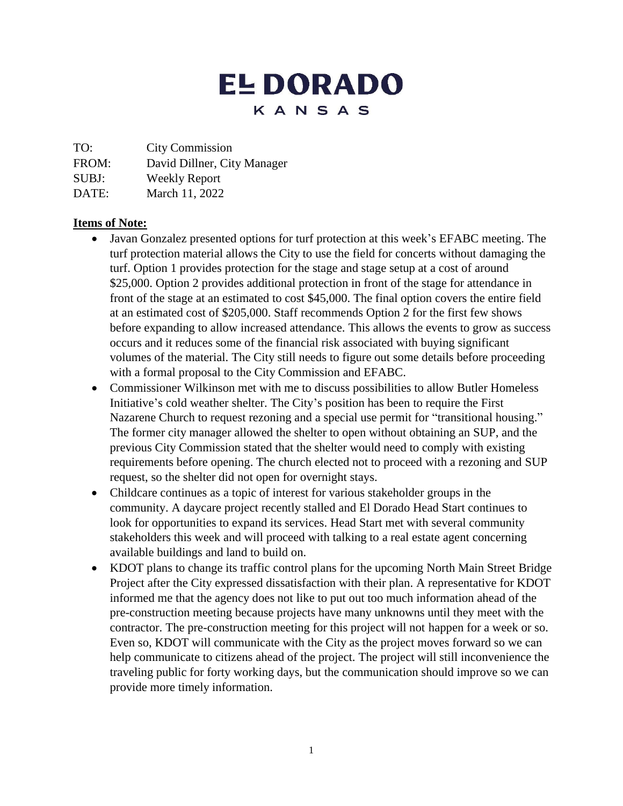# **EL DORADO** KANSAS

TO: City Commission

FROM: David Dillner, City Manager

SUBJ: Weekly Report

DATE: March 11, 2022

# **Items of Note:**

- Javan Gonzalez presented options for turf protection at this week's EFABC meeting. The turf protection material allows the City to use the field for concerts without damaging the turf. Option 1 provides protection for the stage and stage setup at a cost of around \$25,000. Option 2 provides additional protection in front of the stage for attendance in front of the stage at an estimated to cost \$45,000. The final option covers the entire field at an estimated cost of \$205,000. Staff recommends Option 2 for the first few shows before expanding to allow increased attendance. This allows the events to grow as success occurs and it reduces some of the financial risk associated with buying significant volumes of the material. The City still needs to figure out some details before proceeding with a formal proposal to the City Commission and EFABC.
- Commissioner Wilkinson met with me to discuss possibilities to allow Butler Homeless Initiative's cold weather shelter. The City's position has been to require the First Nazarene Church to request rezoning and a special use permit for "transitional housing." The former city manager allowed the shelter to open without obtaining an SUP, and the previous City Commission stated that the shelter would need to comply with existing requirements before opening. The church elected not to proceed with a rezoning and SUP request, so the shelter did not open for overnight stays.
- Childcare continues as a topic of interest for various stakeholder groups in the community. A daycare project recently stalled and El Dorado Head Start continues to look for opportunities to expand its services. Head Start met with several community stakeholders this week and will proceed with talking to a real estate agent concerning available buildings and land to build on.
- KDOT plans to change its traffic control plans for the upcoming North Main Street Bridge Project after the City expressed dissatisfaction with their plan. A representative for KDOT informed me that the agency does not like to put out too much information ahead of the pre-construction meeting because projects have many unknowns until they meet with the contractor. The pre-construction meeting for this project will not happen for a week or so. Even so, KDOT will communicate with the City as the project moves forward so we can help communicate to citizens ahead of the project. The project will still inconvenience the traveling public for forty working days, but the communication should improve so we can provide more timely information.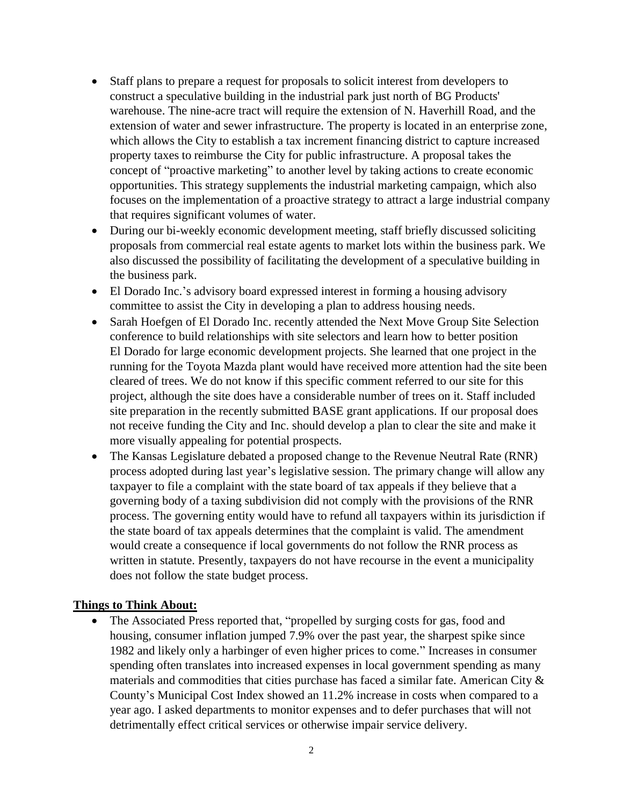- Staff plans to prepare a request for proposals to solicit interest from developers to construct a speculative building in the industrial park just north of BG Products' warehouse. The nine-acre tract will require the extension of N. Haverhill Road, and the extension of water and sewer infrastructure. The property is located in an enterprise zone, which allows the City to establish a tax increment financing district to capture increased property taxes to reimburse the City for public infrastructure. A proposal takes the concept of "proactive marketing" to another level by taking actions to create economic opportunities. This strategy supplements the industrial marketing campaign, which also focuses on the implementation of a proactive strategy to attract a large industrial company that requires significant volumes of water.
- During our bi-weekly economic development meeting, staff briefly discussed soliciting proposals from commercial real estate agents to market lots within the business park. We also discussed the possibility of facilitating the development of a speculative building in the business park.
- El Dorado Inc.'s advisory board expressed interest in forming a housing advisory committee to assist the City in developing a plan to address housing needs.
- Sarah Hoefgen of El Dorado Inc. recently attended the Next Move Group Site Selection conference to build relationships with site selectors and learn how to better position El Dorado for large economic development projects. She learned that one project in the running for the Toyota Mazda plant would have received more attention had the site been cleared of trees. We do not know if this specific comment referred to our site for this project, although the site does have a considerable number of trees on it. Staff included site preparation in the recently submitted BASE grant applications. If our proposal does not receive funding the City and Inc. should develop a plan to clear the site and make it more visually appealing for potential prospects.
- The Kansas Legislature debated a proposed change to the Revenue Neutral Rate (RNR) process adopted during last year's legislative session. The primary change will allow any taxpayer to file a complaint with the state board of tax appeals if they believe that a governing body of a taxing subdivision did not comply with the provisions of the RNR process. The governing entity would have to refund all taxpayers within its jurisdiction if the state board of tax appeals determines that the complaint is valid. The amendment would create a consequence if local governments do not follow the RNR process as written in statute. Presently, taxpayers do not have recourse in the event a municipality does not follow the state budget process.

#### **Things to Think About:**

• The Associated Press reported that, "propelled by surging costs for gas, food and housing, consumer inflation jumped 7.9% over the past year, the sharpest spike since 1982 and likely only a harbinger of even higher prices to come." Increases in consumer spending often translates into increased expenses in local government spending as many materials and commodities that cities purchase has faced a similar fate. American City  $\&$ County's Municipal Cost Index showed an 11.2% increase in costs when compared to a year ago. I asked departments to monitor expenses and to defer purchases that will not detrimentally effect critical services or otherwise impair service delivery.